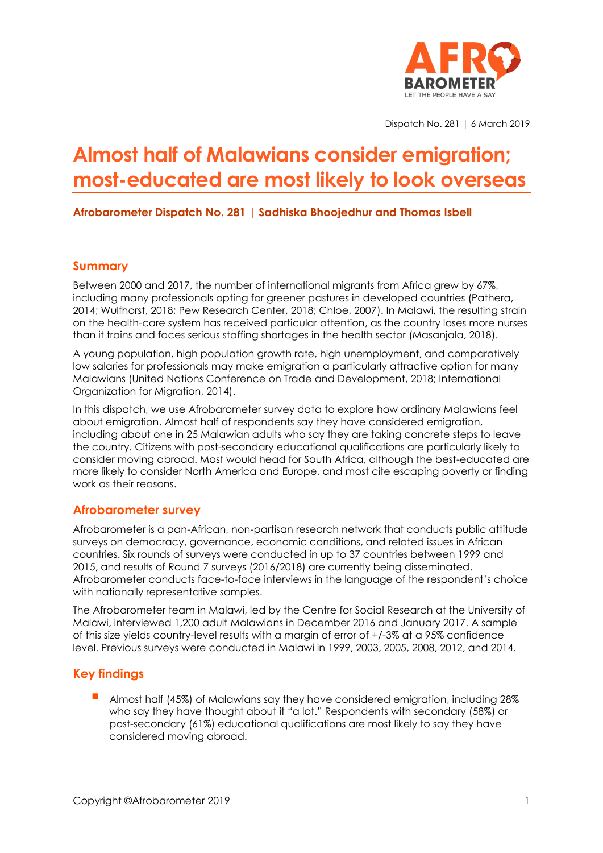

Dispatch No. 281 | 6 March 2019

# **Almost half of Malawians consider emigration; most-educated are most likely to look overseas**

**Afrobarometer Dispatch No. 281 | Sadhiska Bhoojedhur and Thomas Isbell**

### **Summary**

Between 2000 and 2017, the number of international migrants from Africa grew by 67%, including many professionals opting for greener pastures in developed countries (Pathera, 2014; Wulfhorst, 2018; Pew Research Center, 2018; Chloe, 2007). In Malawi, the resulting strain on the health-care system has received particular attention, as the country loses more nurses than it trains and faces serious staffing shortages in the health sector (Masanjala, 2018).

A young population, high population growth rate, high unemployment, and comparatively low salaries for professionals may make emigration a particularly attractive option for many Malawians (United Nations Conference on Trade and Development, 2018; International Organization for Migration, 2014).

In this dispatch, we use Afrobarometer survey data to explore how ordinary Malawians feel about emigration. Almost half of respondents say they have considered emigration, including about one in 25 Malawian adults who say they are taking concrete steps to leave the country. Citizens with post-secondary educational qualifications are particularly likely to consider moving abroad. Most would head for South Africa, although the best-educated are more likely to consider North America and Europe, and most cite escaping poverty or finding work as their reasons.

### **Afrobarometer survey**

Afrobarometer is a pan-African, non-partisan research network that conducts public attitude surveys on democracy, governance, economic conditions, and related issues in African countries. Six rounds of surveys were conducted in up to 37 countries between 1999 and 2015, and results of Round 7 surveys (2016/2018) are currently being disseminated. Afrobarometer conducts face-to-face interviews in the language of the respondent's choice with nationally representative samples.

The Afrobarometer team in Malawi, led by the Centre for Social Research at the University of Malawi, interviewed 1,200 adult Malawians in December 2016 and January 2017. A sample of this size yields country-level results with a margin of error of +/-3% at a 95% confidence level. Previous surveys were conducted in Malawi in 1999, 2003, 2005, 2008, 2012, and 2014.

### **Key findings**

Almost half (45%) of Malawians say they have considered emigration, including 28% who say they have thought about it "a lot." Respondents with secondary (58%) or post-secondary (61%) educational qualifications are most likely to say they have considered moving abroad.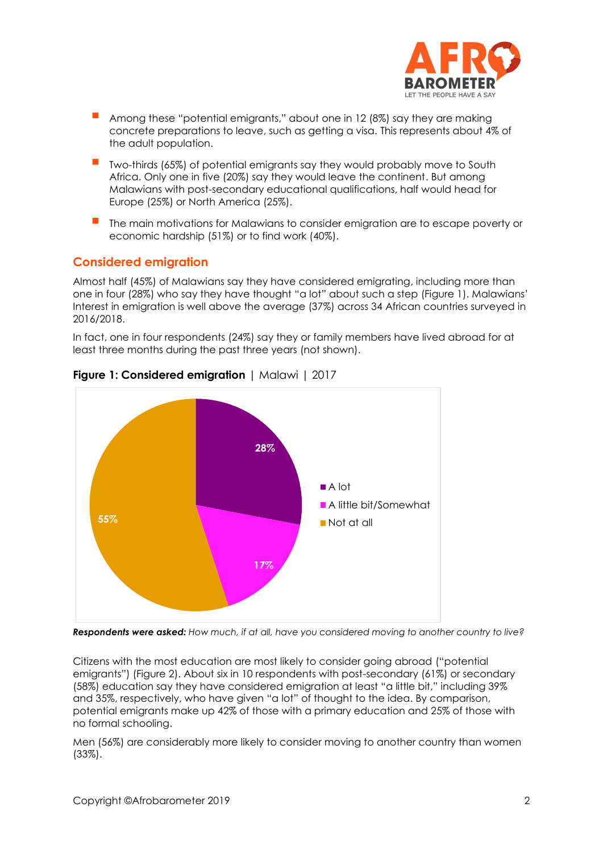

- Among these "potential emigrants," about one in 12 (8%) say they are making concrete preparations to leave, such as getting a visa. This represents about 4% of the adult population.
- Two-thirds (65%) of potential emigrants say they would probably move to South Africa. Only one in five (20%) say they would leave the continent. But among Malawians with post-secondary educational qualifications, half would head for Europe (25%) or North America (25%).
- The main motivations for Malawians to consider emigration are to escape poverty or economic hardship (51%) or to find work (40%).

### **Considered emigration**

Almost half (45%) of Malawians say they have considered emigrating, including more than one in four (28%) who say they have thought "a lot" about such a step (Figure 1). Malawians' Interest in emigration is well above the average (37%) across 34 African countries surveyed in 2016/2018.

In fact, one in four respondents (24%) say they or family members have lived abroad for at least three months during the past three years (not shown).



### **Figure 1: Considered emigration** | Malawi | 2017

*Respondents were asked: How much, if at all, have you considered moving to another country to live?*

Citizens with the most education are most likely to consider going abroad ("potential emigrants") (Figure 2). About six in 10 respondents with post-secondary (61%) or secondary (58%) education say they have considered emigration at least "a little bit," including 39% and 35%, respectively, who have given "a lot" of thought to the idea. By comparison, potential emigrants make up 42% of those with a primary education and 25% of those with no formal schooling.

Men (56%) are considerably more likely to consider moving to another country than women (33%).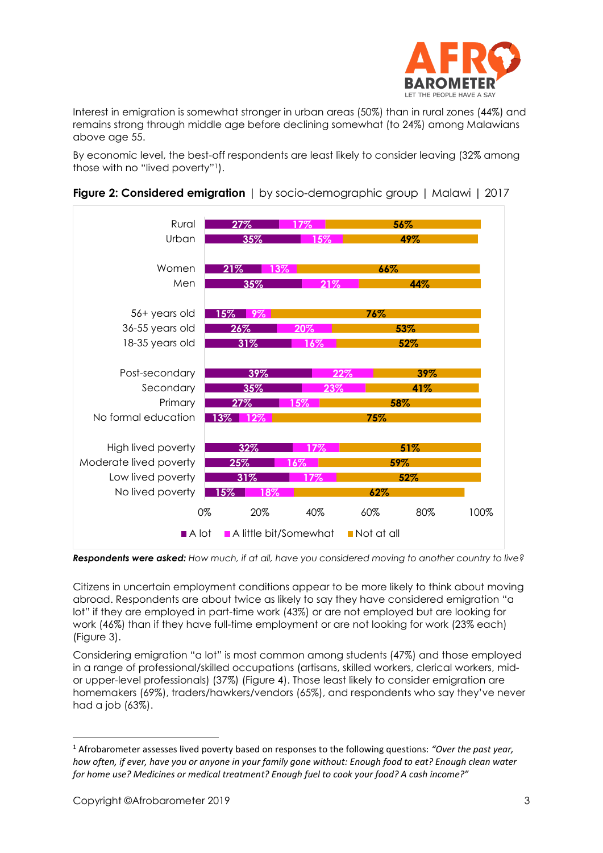

Interest in emigration is somewhat stronger in urban areas (50%) than in rural zones (44%) and remains strong through middle age before declining somewhat (to 24%) among Malawians above age 55.

By economic level, the best-off respondents are least likely to consider leaving (32% among those with no "lived poverty"1).



**Figure 2: Considered emigration** | by socio-demographic group | Malawi | 2017

*Respondents were asked: How much, if at all, have you considered moving to another country to live?*

Citizens in uncertain employment conditions appear to be more likely to think about moving abroad. Respondents are about twice as likely to say they have considered emigration "a lot" if they are employed in part-time work (43%) or are not employed but are looking for work (46%) than if they have full-time employment or are not looking for work (23% each) (Figure 3).

Considering emigration "a lot" is most common among students (47%) and those employed in a range of professional/skilled occupations (artisans, skilled workers, clerical workers, midor upper-level professionals) (37%) (Figure 4). Those least likely to consider emigration are homemakers (69%), traders/hawkers/vendors (65%), and respondents who say they've never had a job (63%).

<sup>1</sup> Afrobarometer assesses lived poverty based on responses to the following questions: *"Over the past year, how often, if ever, have you or anyone in your family gone without: Enough food to eat? Enough clean water for home use? Medicines or medical treatment? Enough fuel to cook your food? A cash income?"*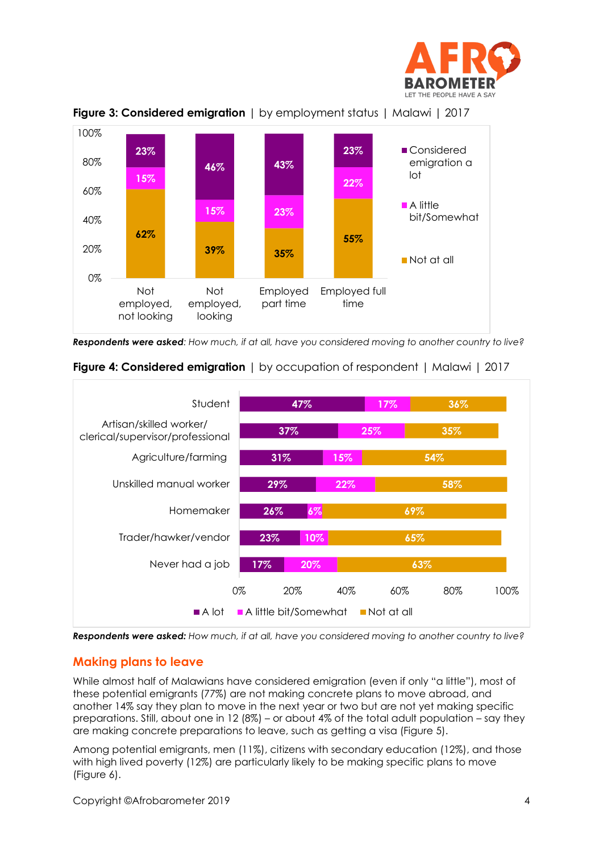





*Respondents were asked: How much, if at all, have you considered moving to another country to live?* 



**Figure 4: Considered emigration** | by occupation of respondent | Malawi | 2017

*Respondents were asked: How much, if at all, have you considered moving to another country to live?*

## **Making plans to leave**

While almost half of Malawians have considered emigration (even if only "a little"), most of these potential emigrants (77%) are not making concrete plans to move abroad, and another 14% say they plan to move in the next year or two but are not yet making specific preparations. Still, about one in 12 (8%) – or about 4% of the total adult population – say they are making concrete preparations to leave, such as getting a visa (Figure 5).

Among potential emigrants, men (11%), citizens with secondary education (12%), and those with high lived poverty (12%) are particularly likely to be making specific plans to move (Figure 6).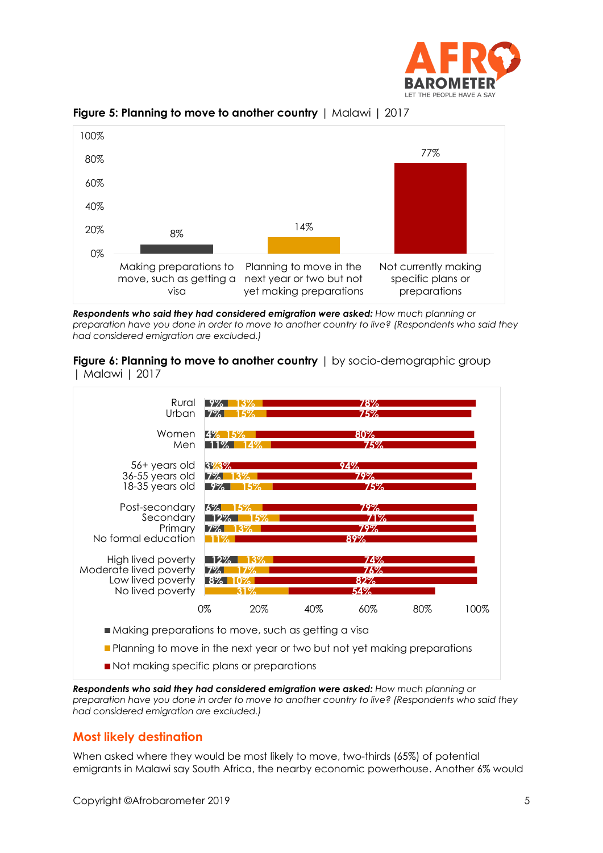





*Respondents who said they had considered emigration were asked: How much planning or preparation have you done in order to move to another country to live? (Respondents who said they had considered emigration are excluded.)*

**Figure 6: Planning to move to another country** | by socio-demographic group | Malawi | 2017



- **Planning to move in the next year or two but not yet making preparations**
- Not making specific plans or preparations

*Respondents who said they had considered emigration were asked: How much planning or preparation have you done in order to move to another country to live? (Respondents who said they had considered emigration are excluded.)*

## **Most likely destination**

When asked where they would be most likely to move, two-thirds (65%) of potential emigrants in Malawi say South Africa, the nearby economic powerhouse. Another 6% would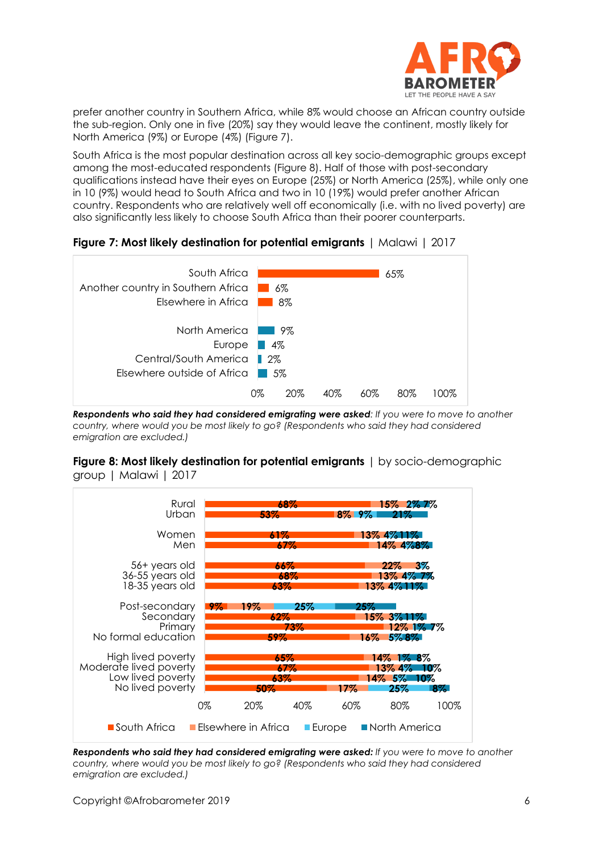

prefer another country in Southern Africa, while 8% would choose an African country outside the sub-region. Only one in five (20%) say they would leave the continent, mostly likely for North America (9%) or Europe (4%) (Figure 7).

South Africa is the most popular destination across all key socio-demographic groups except among the most-educated respondents (Figure 8). Half of those with post-secondary qualifications instead have their eyes on Europe (25%) or North America (25%), while only one in 10 (9%) would head to South Africa and two in 10 (19%) would prefer another African country. Respondents who are relatively well off economically (i.e. with no lived poverty) are also significantly less likely to choose South Africa than their poorer counterparts.





*Respondents who said they had considered emigrating were asked: If you were to move to another country, where would you be most likely to go? (Respondents who said they had considered emigration are excluded.)*

**Figure 8: Most likely destination for potential emigrants** | by socio-demographic group | Malawi | 2017



*Respondents who said they had considered emigrating were asked: If you were to move to another country, where would you be most likely to go? (Respondents who said they had considered emigration are excluded.)*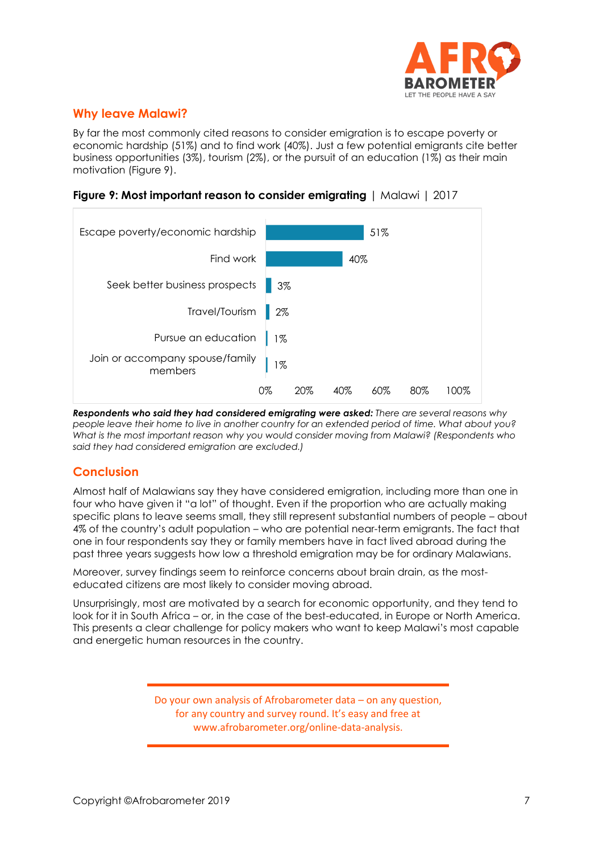

## **Why leave Malawi?**

By far the most commonly cited reasons to consider emigration is to escape poverty or economic hardship (51%) and to find work (40%). Just a few potential emigrants cite better business opportunities (3%), tourism (2%), or the pursuit of an education (1%) as their main motivation (Figure 9).





*Respondents who said they had considered emigrating were asked: There are several reasons why people leave their home to live in another country for an extended period of time. What about you? What is the most important reason why you would consider moving from Malawi? (Respondents who said they had considered emigration are excluded.)*

## **Conclusion**

Almost half of Malawians say they have considered emigration, including more than one in four who have given it "a lot" of thought. Even if the proportion who are actually making specific plans to leave seems small, they still represent substantial numbers of people – about 4% of the country's adult population – who are potential near-term emigrants. The fact that one in four respondents say they or family members have in fact lived abroad during the past three years suggests how low a threshold emigration may be for ordinary Malawians.

Moreover, survey findings seem to reinforce concerns about brain drain, as the mosteducated citizens are most likely to consider moving abroad.

Unsurprisingly, most are motivated by a search for economic opportunity, and they tend to look for it in South Africa – or, in the case of the best-educated, in Europe or North America. This presents a clear challenge for policy makers who want to keep Malawi's most capable and energetic human resources in the country.

> Do your own analysis of Afrobarometer data – on any question, for any country and survey round. It's easy and free at www.afrobarometer.org/online-data-analysis.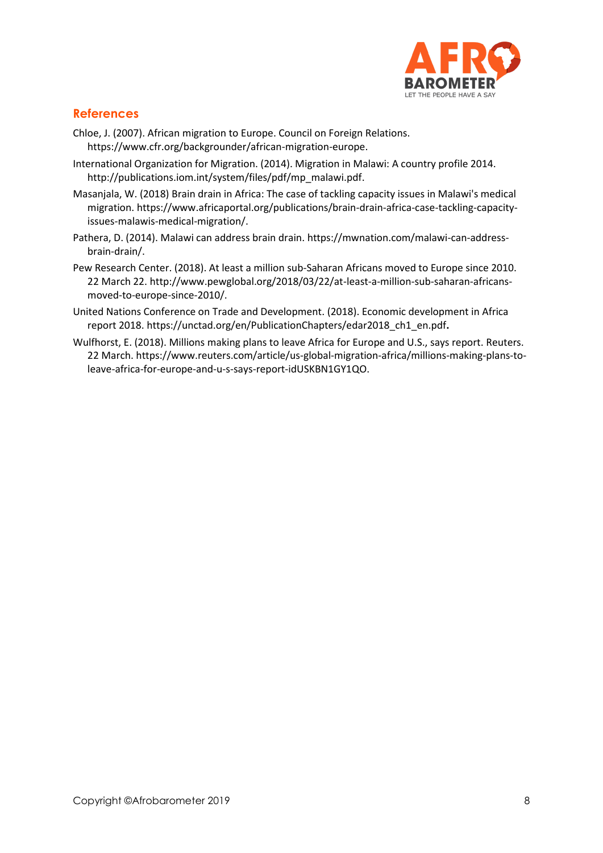

## **References**

- Chloe, J. (2007). African migration to Europe. Council on Foreign Relations. https://www.cfr.org/backgrounder/african-migration-europe.
- International Organization for Migration. (2014). Migration in Malawi: A country profile 2014. http://publications.iom.int/system/files/pdf/mp\_malawi.pdf.
- Masanjala, W. (2018) Brain drain in Africa: The case of tackling capacity issues in Malawi's medical migration. https://www.africaportal.org/publications/brain-drain-africa-case-tackling-capacityissues-malawis-medical-migration/.
- Pathera, D. (2014). Malawi can address brain drain. https://mwnation.com/malawi-can-addressbrain-drain/.
- Pew Research Center. (2018). At least a million sub-Saharan Africans moved to Europe since 2010. 22 March 22. [http://www.pewglobal.org/2018/03/22/at-least-a-million-sub-saharan-africans](http://www.pewglobal.org/2018/03/22/at-least-a-million-sub-saharan-africans-moved-to-europe-since-2010/)[moved-to-europe-since-2010/.](http://www.pewglobal.org/2018/03/22/at-least-a-million-sub-saharan-africans-moved-to-europe-since-2010/)
- United Nations Conference on Trade and Development. (2018). Economic development in Africa report 2018. [https://unctad.org/en/PublicationChapters/edar2018\\_ch1\\_en.pdf](https://unctad.org/en/PublicationChapters/edar2018_ch1_en.pdf)**.**
- Wulfhorst, E. (2018). Millions making plans to leave Africa for Europe and U.S., says report. Reuters. 22 March. https://www.reuters.com/article/us-global-migration-africa/millions-making-plans-toleave-africa-for-europe-and-u-s-says-report-idUSKBN1GY1QO.